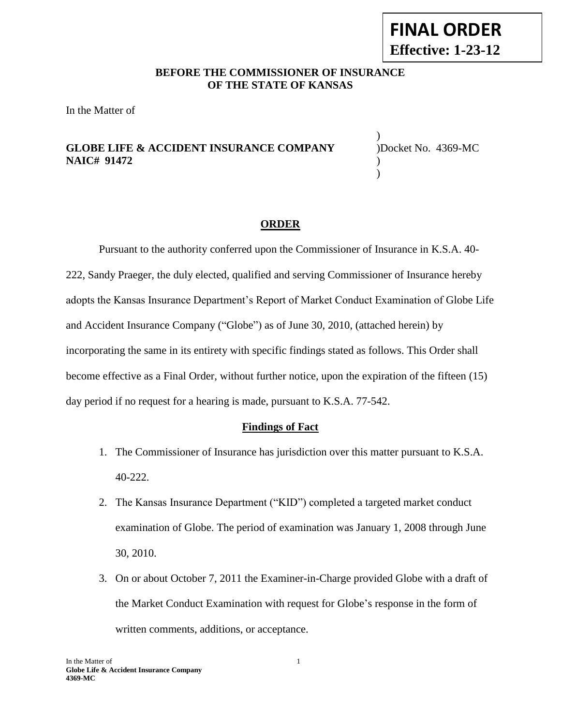## **BEFORE THE COMMISSIONER OF INSURANCE OF THE STATE OF KANSAS**

In the Matter of

## **GLOBE LIFE & ACCIDENT INSURANCE COMPANY** )Docket No. 4369-MC **NAIC# 91472** )

) )

## **ORDER**

Pursuant to the authority conferred upon the Commissioner of Insurance in K.S.A. 40- 222, Sandy Praeger, the duly elected, qualified and serving Commissioner of Insurance hereby adopts the Kansas Insurance Department's Report of Market Conduct Examination of Globe Life and Accident Insurance Company ("Globe") as of June 30, 2010, (attached herein) by incorporating the same in its entirety with specific findings stated as follows. This Order shall become effective as a Final Order, without further notice, upon the expiration of the fifteen (15) day period if no request for a hearing is made, pursuant to K.S.A. 77-542.

#### **Findings of Fact**

- 1. The Commissioner of Insurance has jurisdiction over this matter pursuant to K.S.A. 40-222.
- 2. The Kansas Insurance Department ("KID") completed a targeted market conduct examination of Globe. The period of examination was January 1, 2008 through June 30, 2010.
- 3. On or about October 7, 2011 the Examiner-in-Charge provided Globe with a draft of the Market Conduct Examination with request for Globe's response in the form of written comments, additions, or acceptance.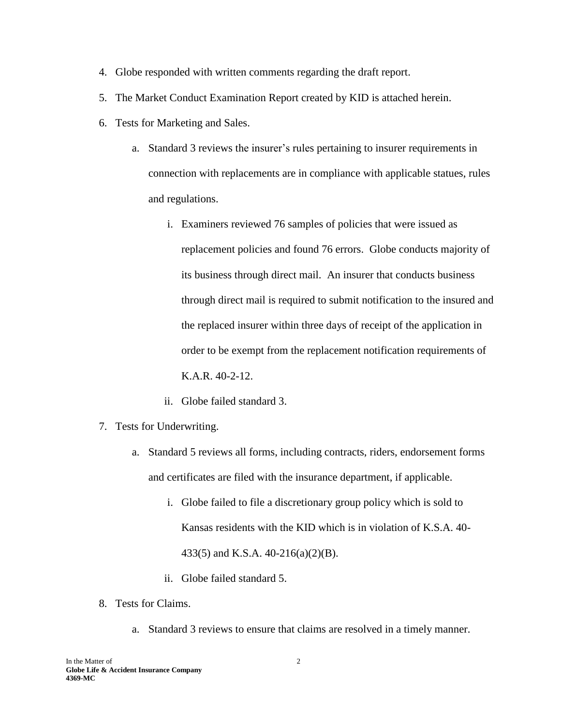- 4. Globe responded with written comments regarding the draft report.
- 5. The Market Conduct Examination Report created by KID is attached herein.
- 6. Tests for Marketing and Sales.
	- a. Standard 3 reviews the insurer's rules pertaining to insurer requirements in connection with replacements are in compliance with applicable statues, rules and regulations.
		- i. Examiners reviewed 76 samples of policies that were issued as replacement policies and found 76 errors. Globe conducts majority of its business through direct mail. An insurer that conducts business through direct mail is required to submit notification to the insured and the replaced insurer within three days of receipt of the application in order to be exempt from the replacement notification requirements of K.A.R. 40-2-12.
		- ii. Globe failed standard 3.
- 7. Tests for Underwriting.
	- a. Standard 5 reviews all forms, including contracts, riders, endorsement forms and certificates are filed with the insurance department, if applicable.
		- i. Globe failed to file a discretionary group policy which is sold to Kansas residents with the KID which is in violation of K.S.A. 40- 433(5) and K.S.A. 40-216(a)(2)(B).
		- ii. Globe failed standard 5.
- 8. Tests for Claims.
	- a. Standard 3 reviews to ensure that claims are resolved in a timely manner.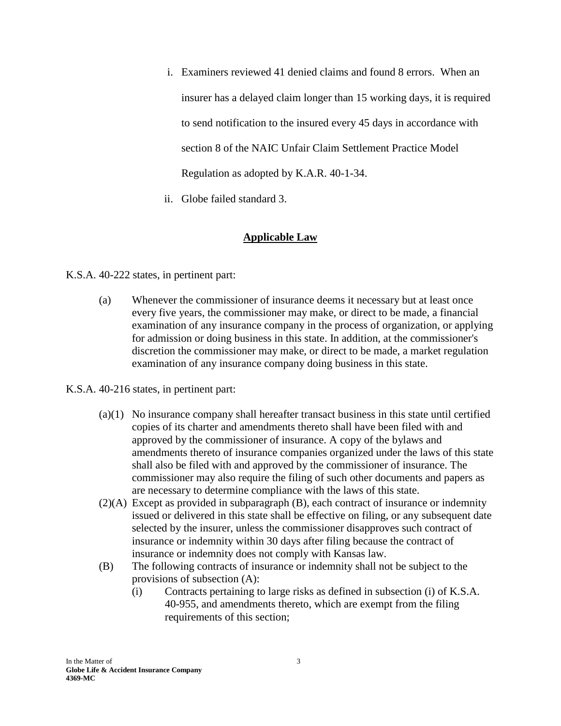- i. Examiners reviewed 41 denied claims and found 8 errors. When an insurer has a delayed claim longer than 15 working days, it is required to send notification to the insured every 45 days in accordance with section 8 of the NAIC Unfair Claim Settlement Practice Model Regulation as adopted by K.A.R. 40-1-34.
- ii. Globe failed standard 3.

## **Applicable Law**

K.S.A. 40-222 states, in pertinent part:

(a) Whenever the commissioner of insurance deems it necessary but at least once every five years, the commissioner may make, or direct to be made, a financial examination of any insurance company in the process of organization, or applying for admission or doing business in this state. In addition, at the commissioner's discretion the commissioner may make, or direct to be made, a market regulation examination of any insurance company doing business in this state.

K.S.A. 40-216 states, in pertinent part:

- (a)(1) No insurance company shall hereafter transact business in this state until certified copies of its charter and amendments thereto shall have been filed with and approved by the commissioner of insurance. A copy of the bylaws and amendments thereto of insurance companies organized under the laws of this state shall also be filed with and approved by the commissioner of insurance. The commissioner may also require the filing of such other documents and papers as are necessary to determine compliance with the laws of this state.
- (2)(A) Except as provided in subparagraph (B), each contract of insurance or indemnity issued or delivered in this state shall be effective on filing, or any subsequent date selected by the insurer, unless the commissioner disapproves such contract of insurance or indemnity within 30 days after filing because the contract of insurance or indemnity does not comply with Kansas law.
- (B) The following contracts of insurance or indemnity shall not be subject to the provisions of subsection (A):
	- (i) Contracts pertaining to large risks as defined in subsection (i) of K.S.A. 40-955, and amendments thereto, which are exempt from the filing requirements of this section;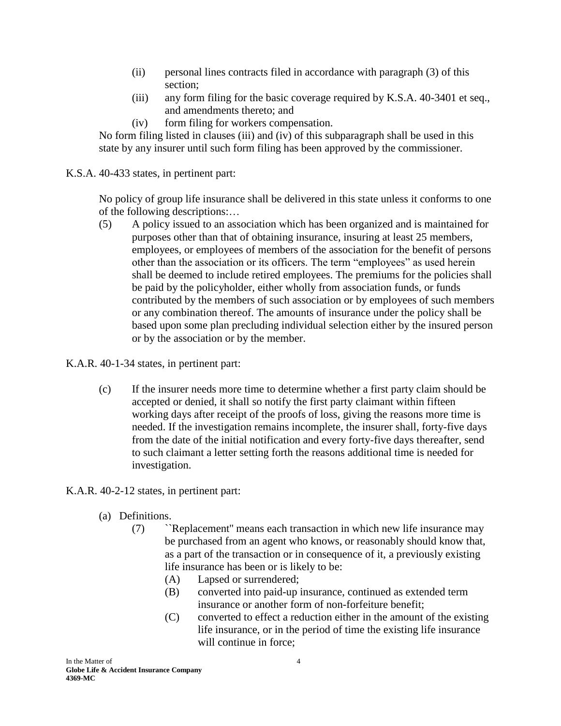- (ii) personal lines contracts filed in accordance with paragraph (3) of this section;
- (iii) any form filing for the basic coverage required by K.S.A. 40-3401 et seq., and amendments thereto; and
- (iv) form filing for workers compensation.

No form filing listed in clauses (iii) and (iv) of this subparagraph shall be used in this state by any insurer until such form filing has been approved by the commissioner.

K.S.A. 40-433 states, in pertinent part:

No policy of group life insurance shall be delivered in this state unless it conforms to one of the following descriptions:…

(5) A policy issued to an association which has been organized and is maintained for purposes other than that of obtaining insurance, insuring at least 25 members, employees, or employees of members of the association for the benefit of persons other than the association or its officers. The term "employees" as used herein shall be deemed to include retired employees. The premiums for the policies shall be paid by the policyholder, either wholly from association funds, or funds contributed by the members of such association or by employees of such members or any combination thereof. The amounts of insurance under the policy shall be based upon some plan precluding individual selection either by the insured person or by the association or by the member.

K.A.R. 40-1-34 states, in pertinent part:

(c) If the insurer needs more time to determine whether a first party claim should be accepted or denied, it shall so notify the first party claimant within fifteen working days after receipt of the proofs of loss, giving the reasons more time is needed. If the investigation remains incomplete, the insurer shall, forty-five days from the date of the initial notification and every forty-five days thereafter, send to such claimant a letter setting forth the reasons additional time is needed for investigation.

# K.A.R. 40-2-12 states, in pertinent part:

- (a) Definitions.
	- (7) ``Replacement'' means each transaction in which new life insurance may be purchased from an agent who knows, or reasonably should know that, as a part of the transaction or in consequence of it, a previously existing life insurance has been or is likely to be:
		- (A) Lapsed or surrendered;
		- (B) converted into paid-up insurance, continued as extended term insurance or another form of non-forfeiture benefit;
		- (C) converted to effect a reduction either in the amount of the existing life insurance, or in the period of time the existing life insurance will continue in force;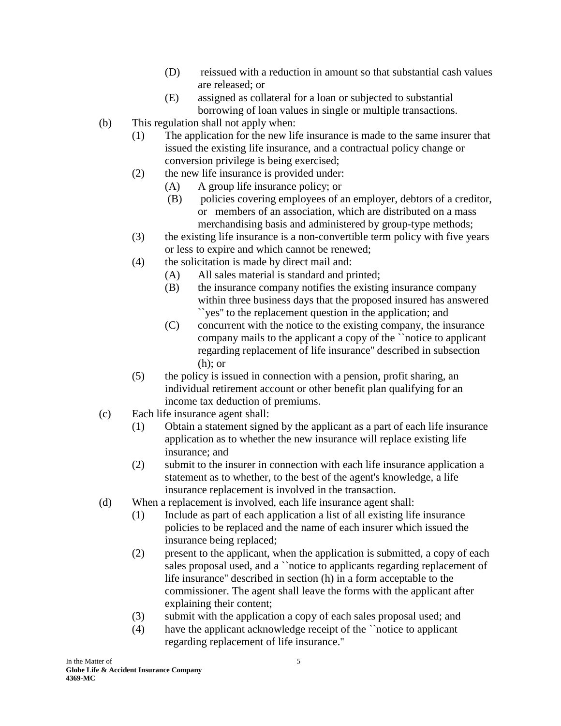- (D) reissued with a reduction in amount so that substantial cash values are released; or
- (E) assigned as collateral for a loan or subjected to substantial borrowing of loan values in single or multiple transactions.
- (b) This regulation shall not apply when:
	- (1) The application for the new life insurance is made to the same insurer that issued the existing life insurance, and a contractual policy change or conversion privilege is being exercised;
	- (2) the new life insurance is provided under:
		- (A) A group life insurance policy; or
		- (B) policies covering employees of an employer, debtors of a creditor, or members of an association, which are distributed on a mass merchandising basis and administered by group-type methods;
	- (3) the existing life insurance is a non-convertible term policy with five years or less to expire and which cannot be renewed;
	- (4) the solicitation is made by direct mail and:
		- (A) All sales material is standard and printed;
		- (B) the insurance company notifies the existing insurance company within three business days that the proposed insured has answered ``yes'' to the replacement question in the application; and
		- (C) concurrent with the notice to the existing company, the insurance company mails to the applicant a copy of the ``notice to applicant regarding replacement of life insurance'' described in subsection (h); or
	- (5) the policy is issued in connection with a pension, profit sharing, an individual retirement account or other benefit plan qualifying for an income tax deduction of premiums.
- (c) Each life insurance agent shall:
	- (1) Obtain a statement signed by the applicant as a part of each life insurance application as to whether the new insurance will replace existing life insurance; and
	- (2) submit to the insurer in connection with each life insurance application a statement as to whether, to the best of the agent's knowledge, a life insurance replacement is involved in the transaction.
- (d) When a replacement is involved, each life insurance agent shall:
	- (1) Include as part of each application a list of all existing life insurance policies to be replaced and the name of each insurer which issued the insurance being replaced;
	- (2) present to the applicant, when the application is submitted, a copy of each sales proposal used, and a 'notice to applicants regarding replacement of life insurance'' described in section (h) in a form acceptable to the commissioner. The agent shall leave the forms with the applicant after explaining their content;
	- (3) submit with the application a copy of each sales proposal used; and
	- (4) have the applicant acknowledge receipt of the ``notice to applicant regarding replacement of life insurance.''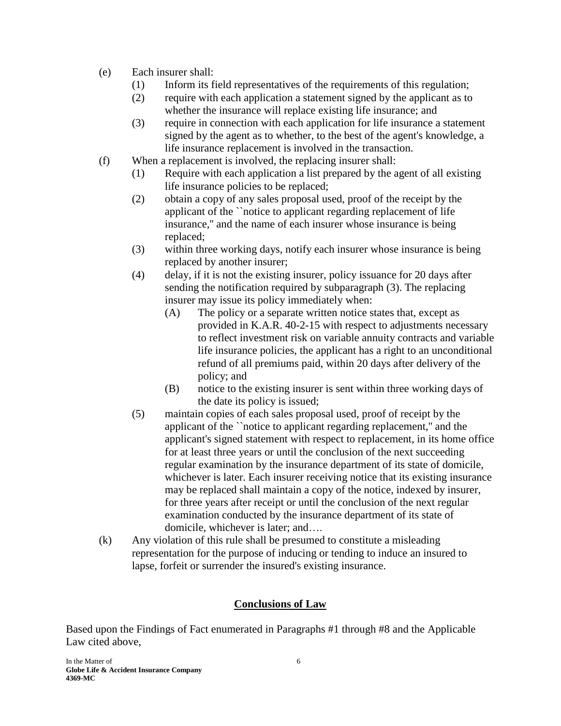- (e) Each insurer shall:
	- (1) Inform its field representatives of the requirements of this regulation;
	- (2) require with each application a statement signed by the applicant as to whether the insurance will replace existing life insurance; and
	- (3) require in connection with each application for life insurance a statement signed by the agent as to whether, to the best of the agent's knowledge, a life insurance replacement is involved in the transaction.
- (f) When a replacement is involved, the replacing insurer shall:
	- (1) Require with each application a list prepared by the agent of all existing life insurance policies to be replaced;
	- (2) obtain a copy of any sales proposal used, proof of the receipt by the applicant of the ``notice to applicant regarding replacement of life insurance,'' and the name of each insurer whose insurance is being replaced;
	- (3) within three working days, notify each insurer whose insurance is being replaced by another insurer;
	- (4) delay, if it is not the existing insurer, policy issuance for 20 days after sending the notification required by subparagraph (3). The replacing insurer may issue its policy immediately when:
		- (A) The policy or a separate written notice states that, except as provided in K.A.R. 40-2-15 with respect to adjustments necessary to reflect investment risk on variable annuity contracts and variable life insurance policies, the applicant has a right to an unconditional refund of all premiums paid, within 20 days after delivery of the policy; and
		- (B) notice to the existing insurer is sent within three working days of the date its policy is issued;
	- (5) maintain copies of each sales proposal used, proof of receipt by the applicant of the ``notice to applicant regarding replacement,'' and the applicant's signed statement with respect to replacement, in its home office for at least three years or until the conclusion of the next succeeding regular examination by the insurance department of its state of domicile, whichever is later. Each insurer receiving notice that its existing insurance may be replaced shall maintain a copy of the notice, indexed by insurer, for three years after receipt or until the conclusion of the next regular examination conducted by the insurance department of its state of domicile, whichever is later; and….
- (k) Any violation of this rule shall be presumed to constitute a misleading representation for the purpose of inducing or tending to induce an insured to lapse, forfeit or surrender the insured's existing insurance.

# **Conclusions of Law**

Based upon the Findings of Fact enumerated in Paragraphs #1 through #8 and the Applicable Law cited above,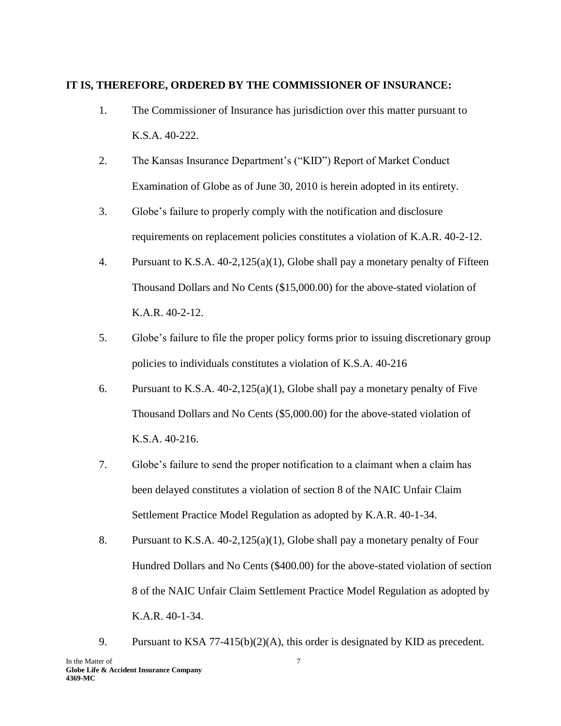#### **IT IS, THEREFORE, ORDERED BY THE COMMISSIONER OF INSURANCE:**

- 1. The Commissioner of Insurance has jurisdiction over this matter pursuant to K.S.A. 40-222.
- 2. The Kansas Insurance Department's ("KID") Report of Market Conduct Examination of Globe as of June 30, 2010 is herein adopted in its entirety.
- 3. Globe's failure to properly comply with the notification and disclosure requirements on replacement policies constitutes a violation of K.A.R. 40-2-12.
- 4. Pursuant to K.S.A. 40-2,125(a)(1), Globe shall pay a monetary penalty of Fifteen Thousand Dollars and No Cents (\$15,000.00) for the above-stated violation of K.A.R. 40-2-12.
- 5. Globe's failure to file the proper policy forms prior to issuing discretionary group policies to individuals constitutes a violation of K.S.A. 40-216
- 6. Pursuant to K.S.A. 40-2,125(a)(1), Globe shall pay a monetary penalty of Five Thousand Dollars and No Cents (\$5,000.00) for the above-stated violation of K.S.A. 40-216.
- 7. Globe's failure to send the proper notification to a claimant when a claim has been delayed constitutes a violation of section 8 of the NAIC Unfair Claim Settlement Practice Model Regulation as adopted by K.A.R. 40-1-34.
- 8. Pursuant to K.S.A. 40-2,125(a)(1), Globe shall pay a monetary penalty of Four Hundred Dollars and No Cents (\$400.00) for the above-stated violation of section 8 of the NAIC Unfair Claim Settlement Practice Model Regulation as adopted by K.A.R. 40-1-34.
- In the Matter of 7 9. Pursuant to KSA 77-415(b)(2)(A), this order is designated by KID as precedent.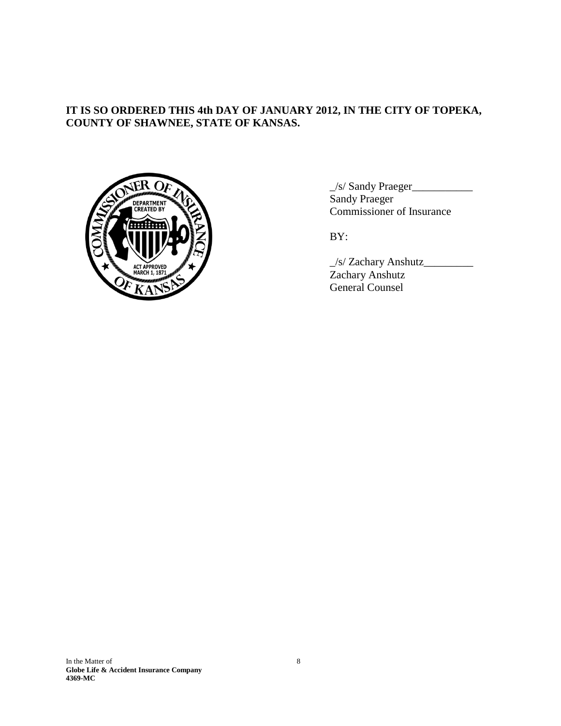## **IT IS SO ORDERED THIS 4th DAY OF JANUARY 2012, IN THE CITY OF TOPEKA, COUNTY OF SHAWNEE, STATE OF KANSAS.**



\_/s/ Sandy Praeger\_\_\_\_\_\_\_\_\_\_\_ Sandy Praeger Commissioner of Insurance

BY:

\_/s/ Zachary Anshutz\_\_\_\_\_\_\_\_\_ Zachary Anshutz General Counsel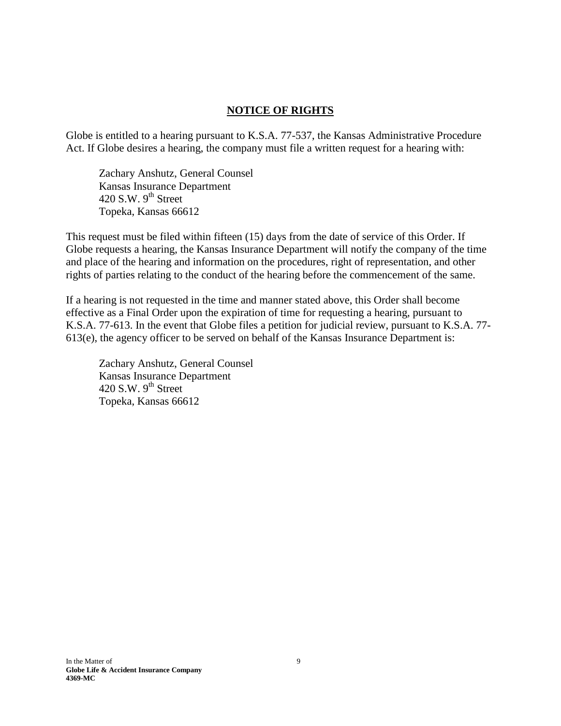## **NOTICE OF RIGHTS**

Globe is entitled to a hearing pursuant to K.S.A. 77-537, the Kansas Administrative Procedure Act. If Globe desires a hearing, the company must file a written request for a hearing with:

Zachary Anshutz, General Counsel Kansas Insurance Department 420 S.W.  $9^{th}$  Street Topeka, Kansas 66612

This request must be filed within fifteen (15) days from the date of service of this Order. If Globe requests a hearing, the Kansas Insurance Department will notify the company of the time and place of the hearing and information on the procedures, right of representation, and other rights of parties relating to the conduct of the hearing before the commencement of the same.

If a hearing is not requested in the time and manner stated above, this Order shall become effective as a Final Order upon the expiration of time for requesting a hearing, pursuant to K.S.A. 77-613. In the event that Globe files a petition for judicial review, pursuant to K.S.A. 77- 613(e), the agency officer to be served on behalf of the Kansas Insurance Department is:

Zachary Anshutz, General Counsel Kansas Insurance Department 420 S.W.  $9<sup>th</sup>$  Street Topeka, Kansas 66612